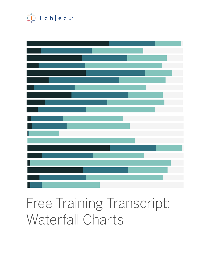

## Free Training Transcript: Waterfall Charts